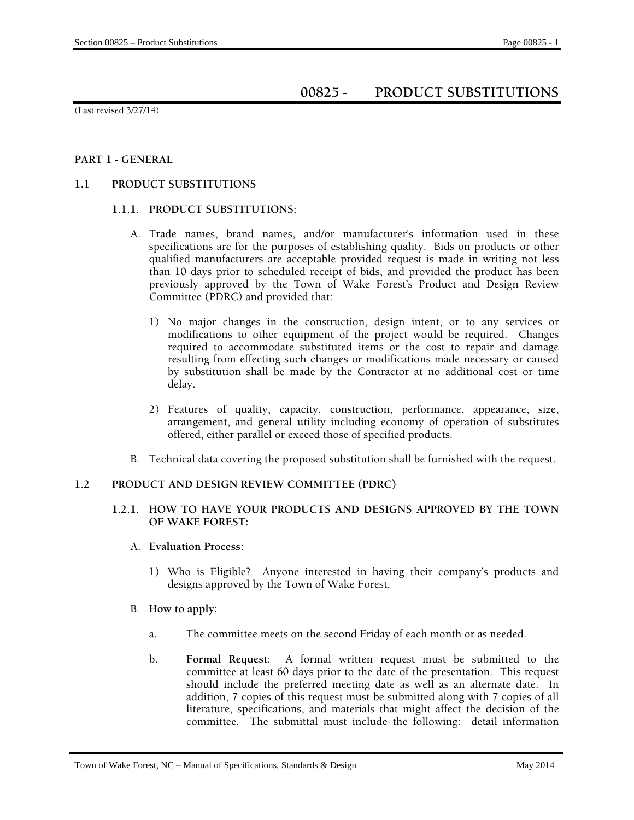# **00825 - PRODUCT SUBSTITUTIONS**

(Last revised 3/27/14)

## **PART 1 - GENERAL**

## **1.1 PRODUCT SUBSTITUTIONS**

## **1.1.1. PRODUCT SUBSTITUTIONS:**

- A. Trade names, brand names, and/or manufacturer's information used in these specifications are for the purposes of establishing quality. Bids on products or other qualified manufacturers are acceptable provided request is made in writing not less than 10 days prior to scheduled receipt of bids, and provided the product has been previously approved by the Town of Wake Forest's Product and Design Review Committee (PDRC) and provided that:
	- 1) No major changes in the construction, design intent, or to any services or modifications to other equipment of the project would be required. Changes required to accommodate substituted items or the cost to repair and damage resulting from effecting such changes or modifications made necessary or caused by substitution shall be made by the Contractor at no additional cost or time delay.
	- 2) Features of quality, capacity, construction, performance, appearance, size, arrangement, and general utility including economy of operation of substitutes offered, either parallel or exceed those of specified products.
- B. Technical data covering the proposed substitution shall be furnished with the request.

#### **1.2 PRODUCT AND DESIGN REVIEW COMMITTEE (PDRC)**

# **1.2.1. HOW TO HAVE YOUR PRODUCTS AND DESIGNS APPROVED BY THE TOWN OF WAKE FOREST:**

- A. **Evaluation Process:** 
	- 1) Who is Eligible? Anyone interested in having their company's products and designs approved by the Town of Wake Forest.
- B. **How to apply:** 
	- a. The committee meets on the second Friday of each month or as needed.
	- b. **Formal Request**: A formal written request must be submitted to the committee at least 60 days prior to the date of the presentation. This request should include the preferred meeting date as well as an alternate date. In addition, 7 copies of this request must be submitted along with 7 copies of all literature, specifications, and materials that might affect the decision of the committee. The submittal must include the following: detail information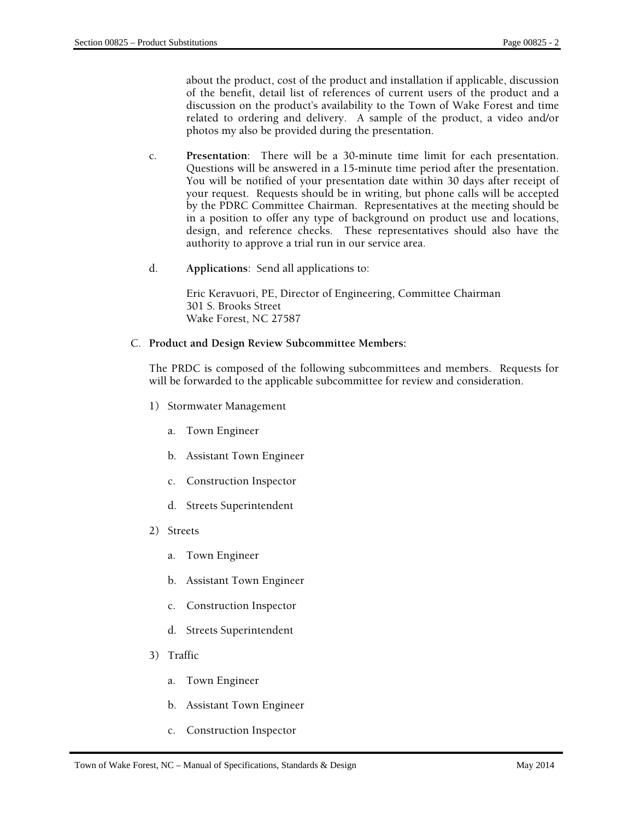about the product, cost of the product and installation if applicable, discussion of the benefit, detail list of references of current users of the product and a discussion on the product's availability to the Town of Wake Forest and time related to ordering and delivery. A sample of the product, a video and/or photos my also be provided during the presentation.

- c. **Presentation**: There will be a 30-minute time limit for each presentation. Questions will be answered in a 15-minute time period after the presentation. You will be notified of your presentation date within 30 days after receipt of your request. Requests should be in writing, but phone calls will be accepted by the PDRC Committee Chairman. Representatives at the meeting should be in a position to offer any type of background on product use and locations, design, and reference checks. These representatives should also have the authority to approve a trial run in our service area.
- d. **Applications**: Send all applications to:

Eric Keravuori, PE, Director of Engineering, Committee Chairman 301 S. Brooks Street Wake Forest, NC 27587

#### C. **Product and Design Review Subcommittee Members:**

The PRDC is composed of the following subcommittees and members. Requests for will be forwarded to the applicable subcommittee for review and consideration.

- 1) Stormwater Management
	- a. Town Engineer
	- b. Assistant Town Engineer
	- c. Construction Inspector
	- d. Streets Superintendent
- 2) Streets
	- a. Town Engineer
	- b. Assistant Town Engineer
	- c. Construction Inspector
	- d. Streets Superintendent
- 3) Traffic
	- a. Town Engineer
	- b. Assistant Town Engineer
	- c. Construction Inspector